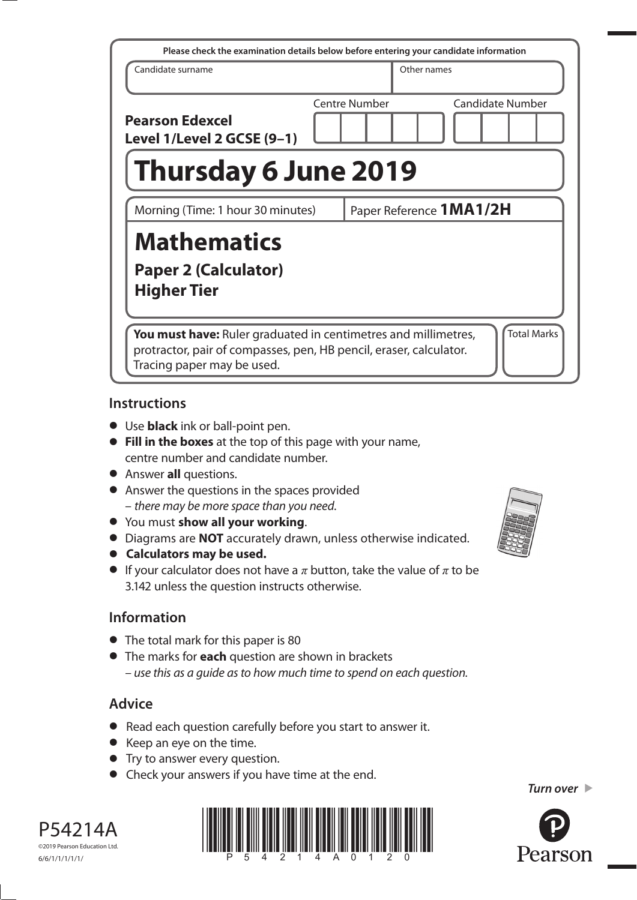| Please check the examination details below before entering your candidate information                                                                                                           |  |                         |             |                         |
|-------------------------------------------------------------------------------------------------------------------------------------------------------------------------------------------------|--|-------------------------|-------------|-------------------------|
| Candidate surname                                                                                                                                                                               |  |                         | Other names |                         |
| <b>Pearson Edexcel</b><br>Level 1/Level 2 GCSE (9-1)                                                                                                                                            |  | Centre Number           |             | <b>Candidate Number</b> |
| <b>Thursday 6 June 2019</b>                                                                                                                                                                     |  |                         |             |                         |
| Morning (Time: 1 hour 30 minutes)                                                                                                                                                               |  | Paper Reference 1MA1/2H |             |                         |
| <b>Mathematics</b><br><b>Paper 2 (Calculator)</b><br><b>Higher Tier</b>                                                                                                                         |  |                         |             |                         |
| <b>Total Marks</b><br><b>You must have:</b> Ruler graduated in centimetres and millimetres,<br>protractor, pair of compasses, pen, HB pencil, eraser, calculator.<br>Tracing paper may be used. |  |                         |             |                         |

#### **Instructions**

- **•** Use **black** ink or ball-point pen.
- **• Fill in the boxes** at the top of this page with your name, centre number and candidate number.
- **•** Answer **all** questions.
- **•** Answer the questions in the spaces provided – there may be more space than you need.
- **•** You must **show all your working**.
- **•** Diagrams are **NOT** accurately drawn, unless otherwise indicated.
- **• Calculators may be used.**
- If your calculator does not have a  $\pi$  button, take the value of  $\pi$  to be 3.142 unless the question instructs otherwise.

# **Information**

- The total mark for this paper is 80
- **•** The marks for **each** question are shown in brackets – use this as a guide as to how much time to spend on each question.

# **Advice**

- **•** Read each question carefully before you start to answer it.
- **•** Keep an eye on the time.
- **•** Try to answer every question.
- **•** Check your answers if you have time at the end.





*Turn over* 

P54214A ©2019 Pearson Education Ltd. 6/6/1/1/1/1/1/

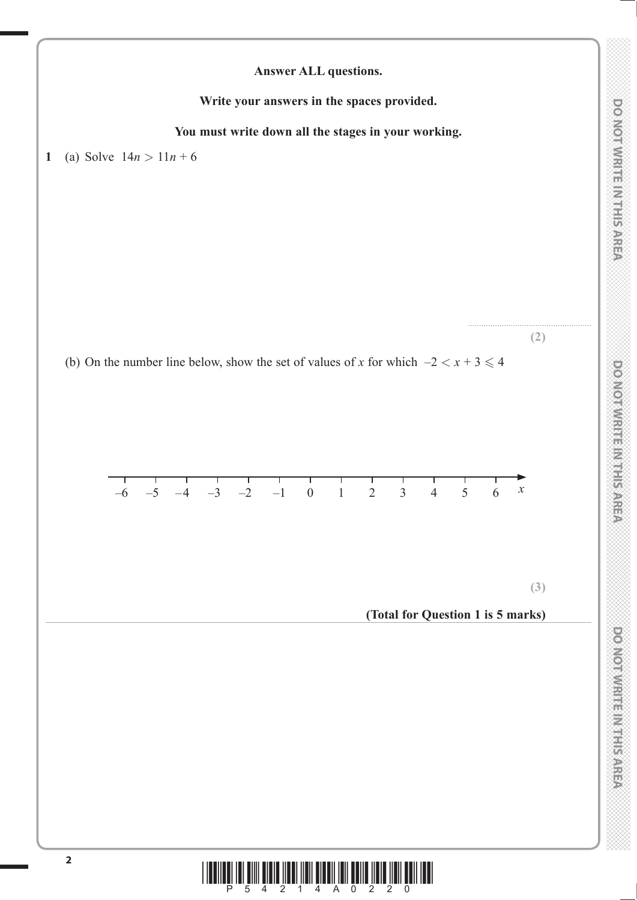

 $\begin{array}{c} \begin{array}{c} \begin{array}{c} \end{array} \\ \begin{array}{c} \end{array} \\ \begin{array}{c} \end{array} \\ \begin{array}{c} \end{array} \\ \begin{array}{c} \end{array} \\ \begin{array}{c} \end{array} \\ \begin{array}{c} \end{array} \\ \begin{array}{c} \end{array} \\ \begin{array}{c} \end{array} \\ \begin{array}{c} \end{array} \\ \begin{array}{c} \end{array} \\ \begin{array}{c} \end{array} \\ \begin{array}{c} \end{array} \\ \begin{array}{c} \end{array} \\ \begin{array}{c} \end{array} \\ \begin{array}{c} \end{array$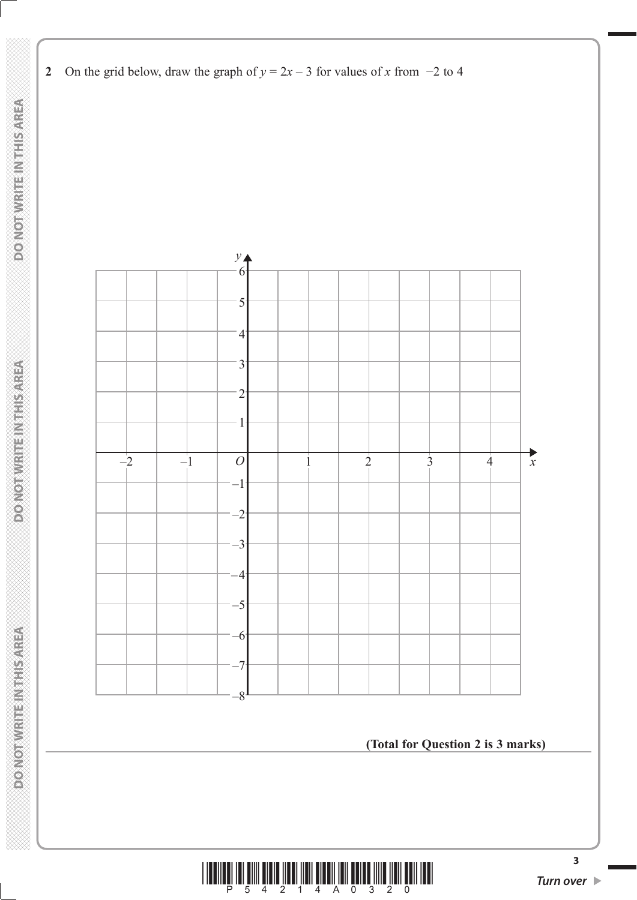

**2** On the grid below, draw the graph of  $y = 2x - 3$  for values of *x* from  $-2$  to 4

**(Total for Question 2 is 3 marks)**

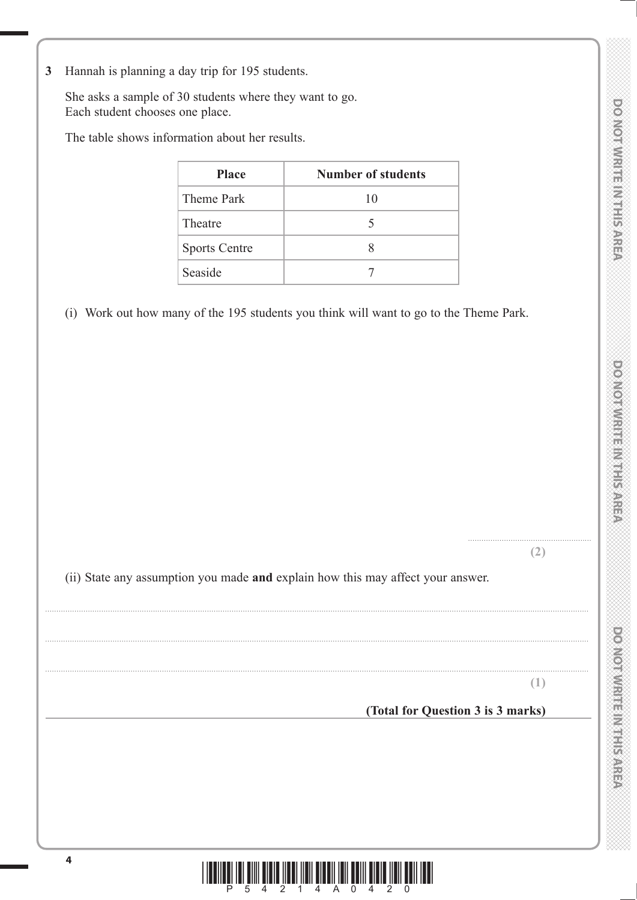DOMOTWRITE MITHIS AREA

**DOO YORD WEBSTART PARTIES** 

**3** Hannah is planning a day trip for 195 students.

 She asks a sample of 30 students where they want to go. Each student chooses one place.

The table shows information about her results.

| <b>Place</b>         | <b>Number of students</b> |
|----------------------|---------------------------|
| Theme Park           | 10                        |
| Theatre              | 5                         |
| <b>Sports Centre</b> |                           |
| Seaside              |                           |

(i) Work out how many of the 195 students you think will want to go to the Theme Park.

**(2)**

.......................................................

(ii) State any assumption you made **and** explain how this may affect your answer.

..................................................................................................................................................................................................................................................

..................................................................................................................................................................................................................................................

..................................................................................................................................................................................................................................................

**(1)**

**(Total for Question 3 is 3 marks)**

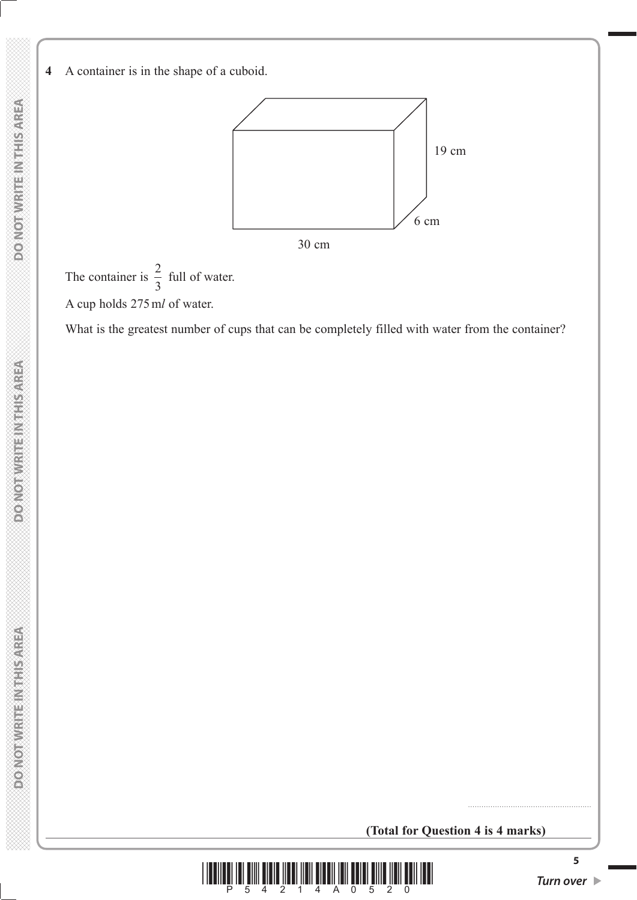**4** A container is in the shape of a cuboid.



The container is  $\frac{2}{3}$ 3 full of water. A cup holds 275 m*l* of water.

What is the greatest number of cups that can be completely filled with water from the container?

**(Total for Question 4 is 4 marks)**



.......................................................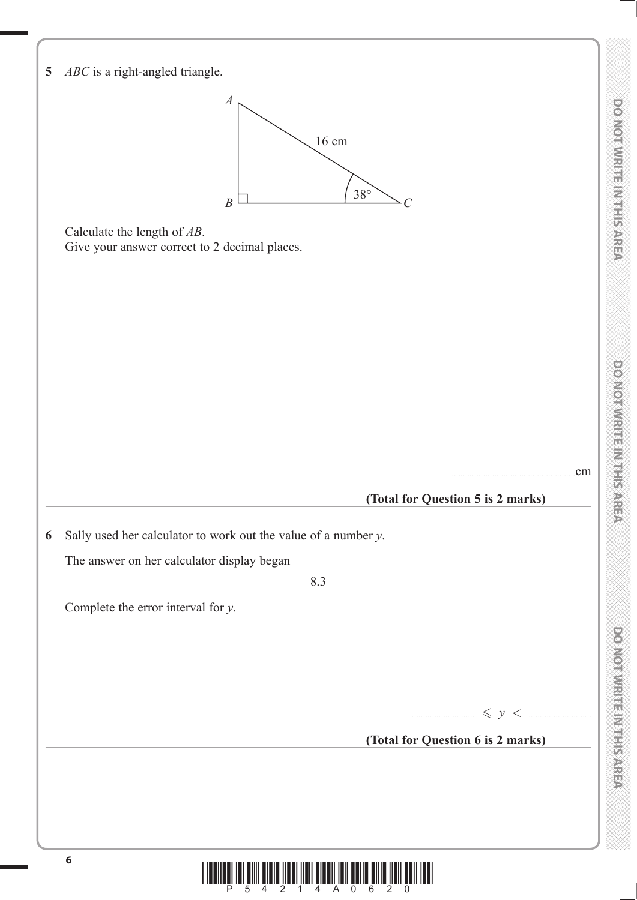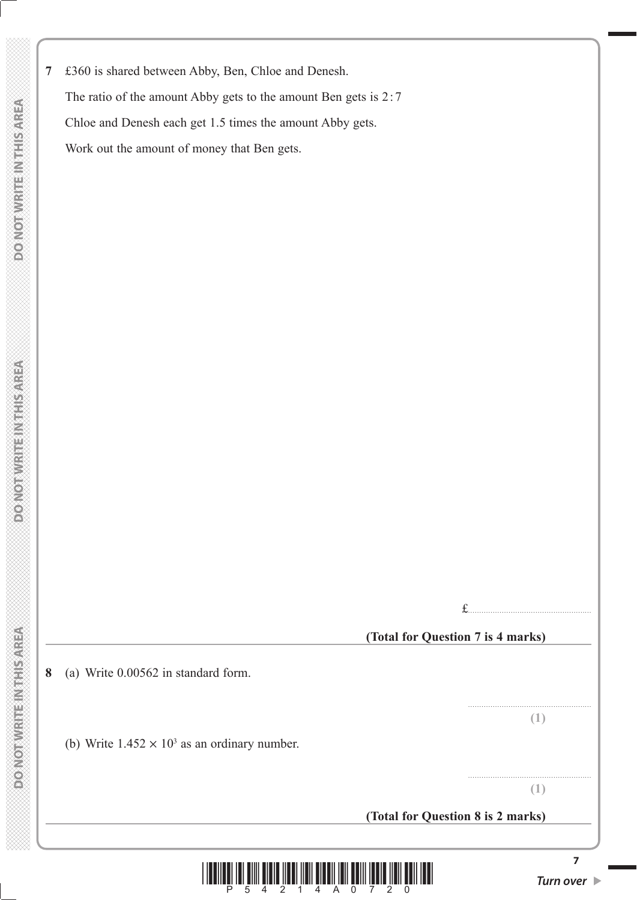**PONOTNICE TERMS** 

**7** £360 is shared between Abby, Ben, Chloe and Denesh. The ratio of the amount Abby gets to the amount Ben gets is 2:7 Chloe and Denesh each get 1.5 times the amount Abby gets. Work out the amount of money that Ben gets.

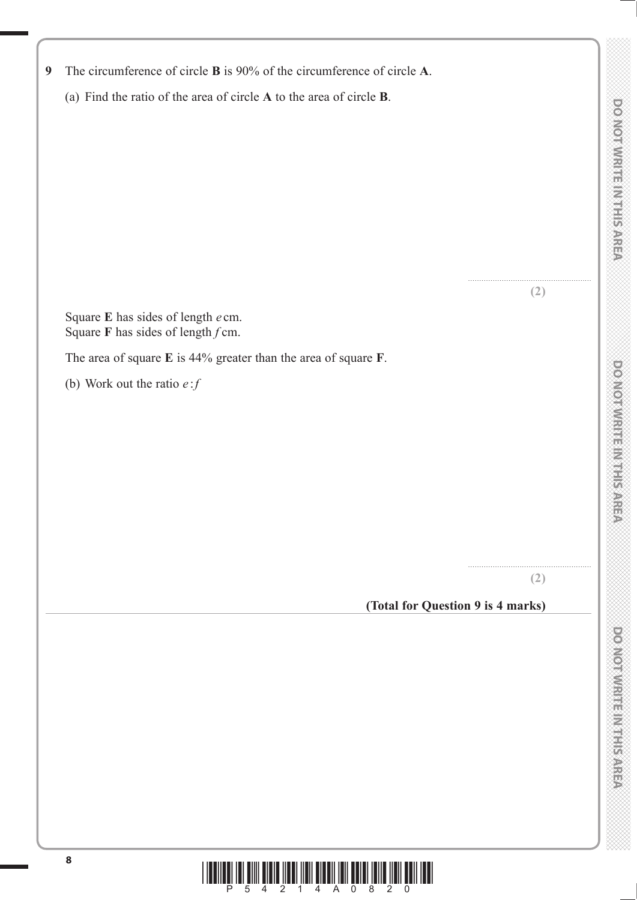| (2)<br>Square E has sides of length e cm.<br>Square F has sides of length $f$ cm.<br>The area of square $E$ is 44% greater than the area of square $F$ .<br>(b) Work out the ratio $e$ : $f$<br>(2)<br>(Total for Question 9 is 4 marks)<br>8<br>$\overline{2}$ | (a) Find the ratio of the area of circle $A$ to the area of circle $B$ . |  |
|-----------------------------------------------------------------------------------------------------------------------------------------------------------------------------------------------------------------------------------------------------------------|--------------------------------------------------------------------------|--|
|                                                                                                                                                                                                                                                                 |                                                                          |  |
|                                                                                                                                                                                                                                                                 |                                                                          |  |
|                                                                                                                                                                                                                                                                 |                                                                          |  |
|                                                                                                                                                                                                                                                                 |                                                                          |  |
|                                                                                                                                                                                                                                                                 |                                                                          |  |
|                                                                                                                                                                                                                                                                 |                                                                          |  |
|                                                                                                                                                                                                                                                                 |                                                                          |  |
|                                                                                                                                                                                                                                                                 |                                                                          |  |
|                                                                                                                                                                                                                                                                 |                                                                          |  |
|                                                                                                                                                                                                                                                                 |                                                                          |  |
|                                                                                                                                                                                                                                                                 |                                                                          |  |
|                                                                                                                                                                                                                                                                 |                                                                          |  |
|                                                                                                                                                                                                                                                                 |                                                                          |  |
|                                                                                                                                                                                                                                                                 |                                                                          |  |
|                                                                                                                                                                                                                                                                 |                                                                          |  |
|                                                                                                                                                                                                                                                                 |                                                                          |  |
|                                                                                                                                                                                                                                                                 |                                                                          |  |
|                                                                                                                                                                                                                                                                 |                                                                          |  |
|                                                                                                                                                                                                                                                                 |                                                                          |  |
|                                                                                                                                                                                                                                                                 |                                                                          |  |
|                                                                                                                                                                                                                                                                 |                                                                          |  |
|                                                                                                                                                                                                                                                                 |                                                                          |  |
|                                                                                                                                                                                                                                                                 |                                                                          |  |
|                                                                                                                                                                                                                                                                 |                                                                          |  |
|                                                                                                                                                                                                                                                                 |                                                                          |  |
|                                                                                                                                                                                                                                                                 |                                                                          |  |
|                                                                                                                                                                                                                                                                 |                                                                          |  |
|                                                                                                                                                                                                                                                                 |                                                                          |  |
|                                                                                                                                                                                                                                                                 |                                                                          |  |
|                                                                                                                                                                                                                                                                 |                                                                          |  |
|                                                                                                                                                                                                                                                                 |                                                                          |  |
|                                                                                                                                                                                                                                                                 |                                                                          |  |
|                                                                                                                                                                                                                                                                 |                                                                          |  |
|                                                                                                                                                                                                                                                                 |                                                                          |  |

**9** The circumference of circle **B** is 90% of the circumference of circle **A**.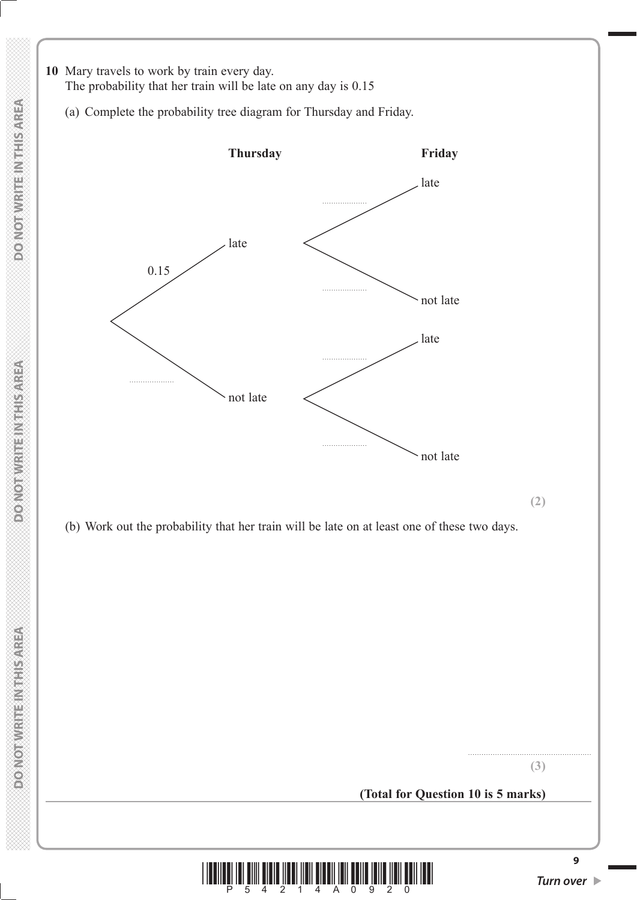

.......................................................

### **(Total for Question 10 is 5 marks)**



**9**

**COMORNIER STRANGED**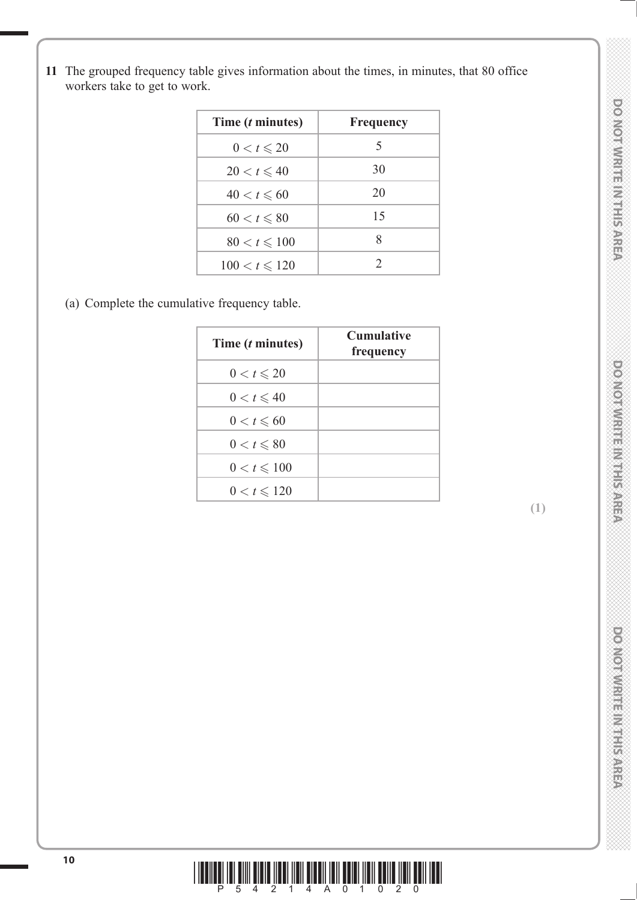**11** The grouped frequency table gives information about the times, in minutes, that 80 office workers take to get to work.

| Time ( <i>t</i> minutes) | <b>Frequency</b> |
|--------------------------|------------------|
| $0 < t \leqslant 20$     | 5                |
| $20 < t \leqslant 40$    | 30               |
| $40 < t \leqslant 60$    | 20               |
| $60 < t \leqslant 80$    | 15               |
| $80 < t \leq 100$        | 8                |
| $100 < t \le 120$        | $\mathcal{D}$    |

(a) Complete the cumulative frequency table.

| Time ( <i>t</i> minutes) | <b>Cumulative</b><br>frequency |
|--------------------------|--------------------------------|
| $0 < t \leqslant 20$     |                                |
| $0 < t \leqslant 40$     |                                |
| $0 < t \leqslant 60$     |                                |
| $0 < t \leqslant 80$     |                                |
| $0 < t \leqslant 100$    |                                |
| $0 < t \le 120$          |                                |



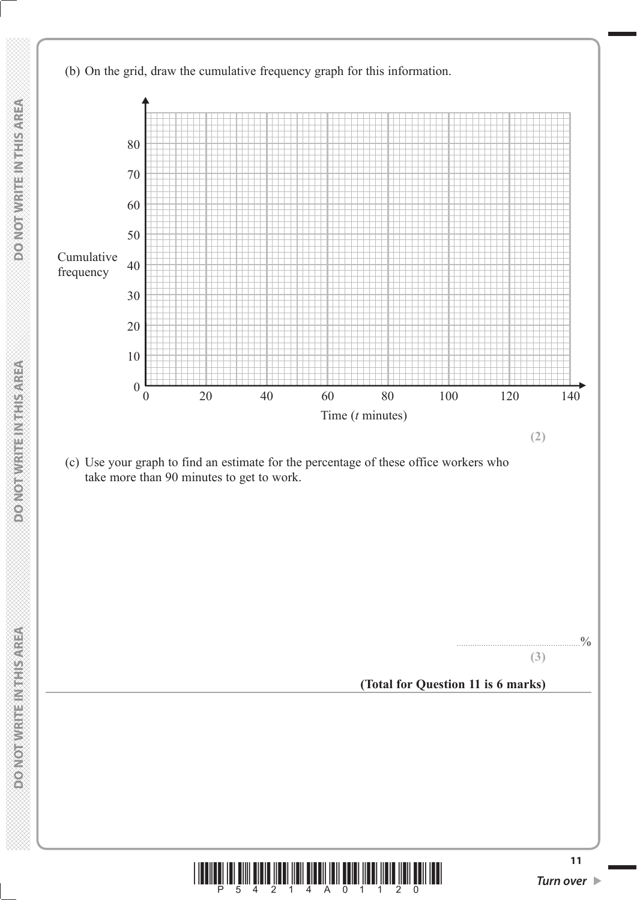



**DOMOTIVRITE IN THIS AREA** 

**MONOT WRITE INSTITUTION**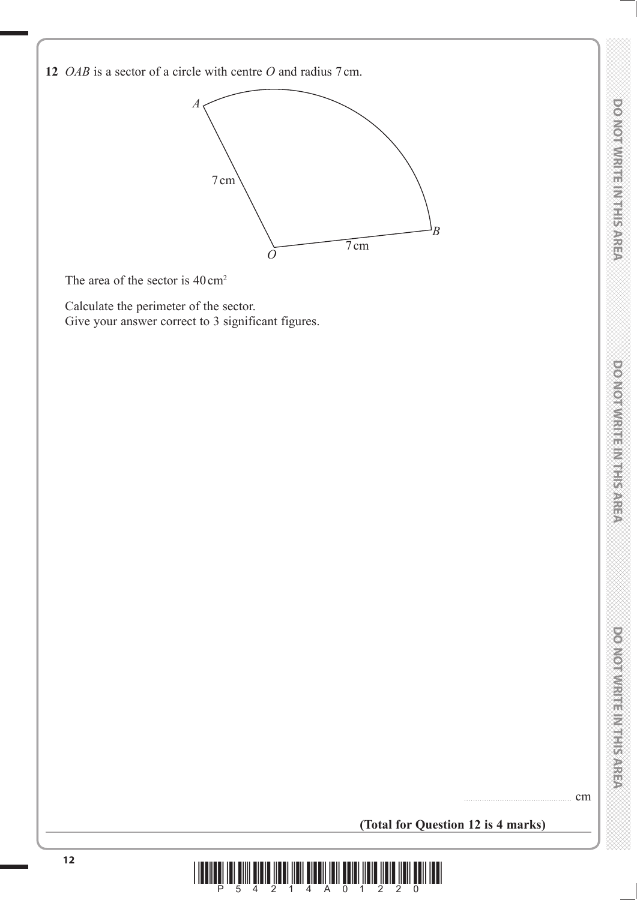**12** *OAB* is a sector of a circle with centre *O* and radius 7 cm.



The area of the sector is  $40 \text{ cm}^2$ 

 Calculate the perimeter of the sector. Give your answer correct to 3 significant figures.

................................................ cm

DO NOTWRITE IN THE AREA

**(Total for Question 12 is 4 marks)**

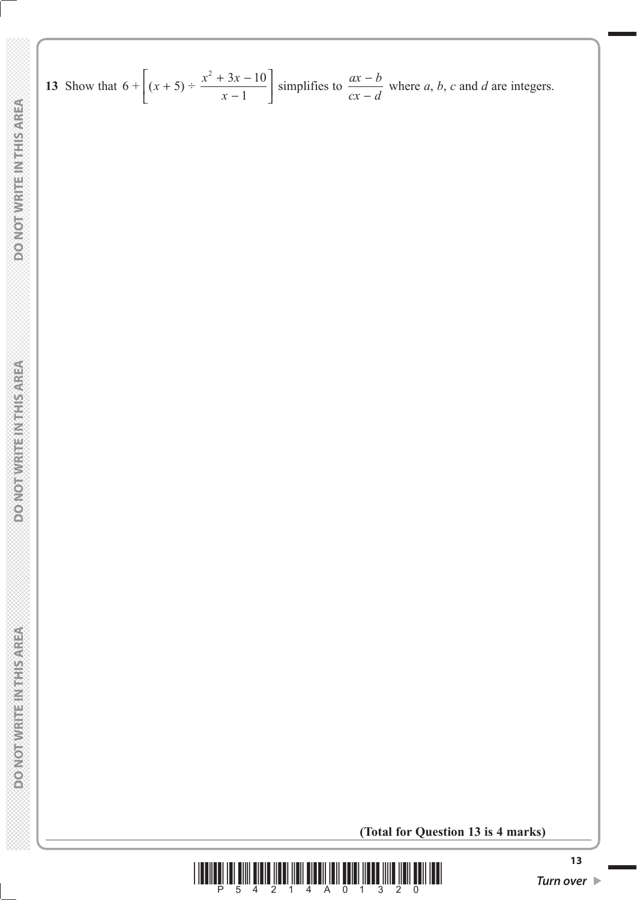13 Show that 
$$
6 + \left[ (x+5) \div \frac{x^2 + 3x - 10}{x-1} \right]
$$
 simplifies to  $\frac{ax - b}{cx - d}$  where a, b, c and d are integers.

**(Total for Question 13 is 4 marks)**

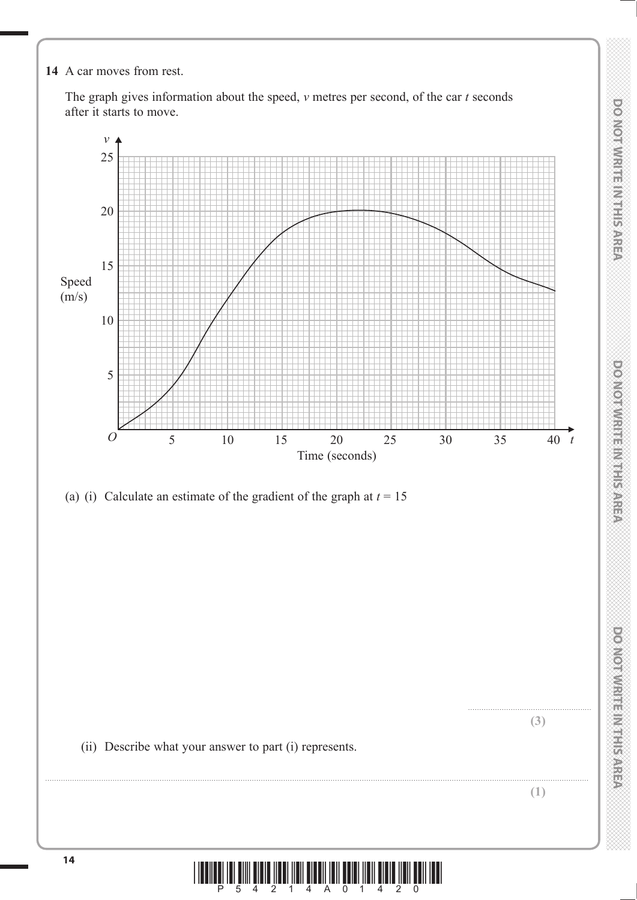**14** A car moves from rest.

 The graph gives information about the speed, *v* metres per second, of the car *t* seconds after it starts to move.



 **DO NOT WRITE IN THE IN THIS AREA DO NOT WRITE IN THIS AREA DO NOT WRITE IN THIS AREA DO NOT WRITE IN THIS AREA DO NOT WRITE IN THE INTERNATIONAL CONTINUES. THE INTERNATIONAL CONTINUES.** 

**DOMORATION ENGINEERING** 

**DONORMENT INTERNATION** 

DO NOT WRITE IN THIS AREA

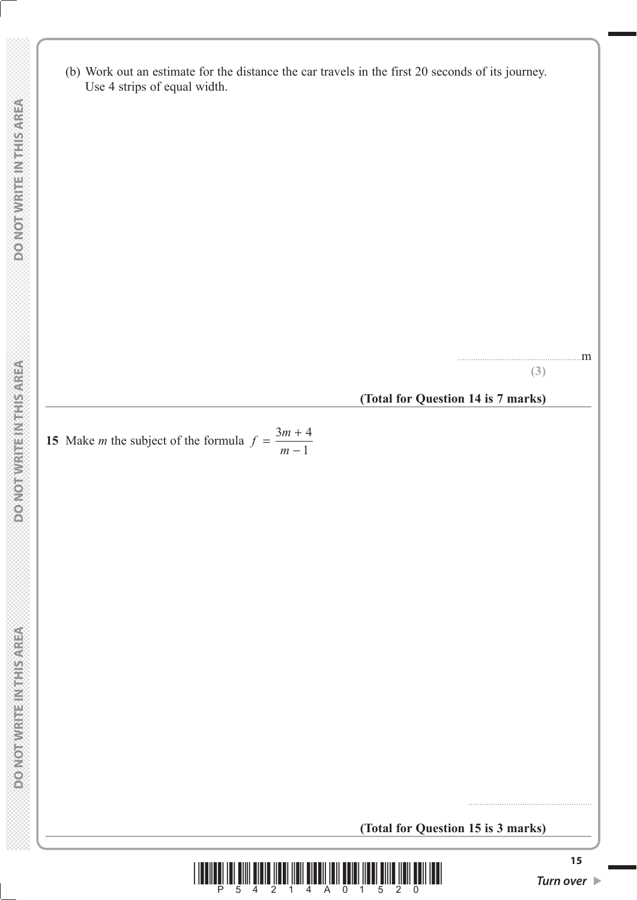(b) Work out an estimate for the distance the car travels in the first 20 seconds of its journey. Use 4 strips of equal width.

.......................................................m

**(3)**

#### **(Total for Question 14 is 7 marks)**

**15** Make *m* the subject of the formula  $f = \frac{3m + m}{m - m}$  $3m + 4$ 1

**(Total for Question 15 is 3 marks)**



.......................................................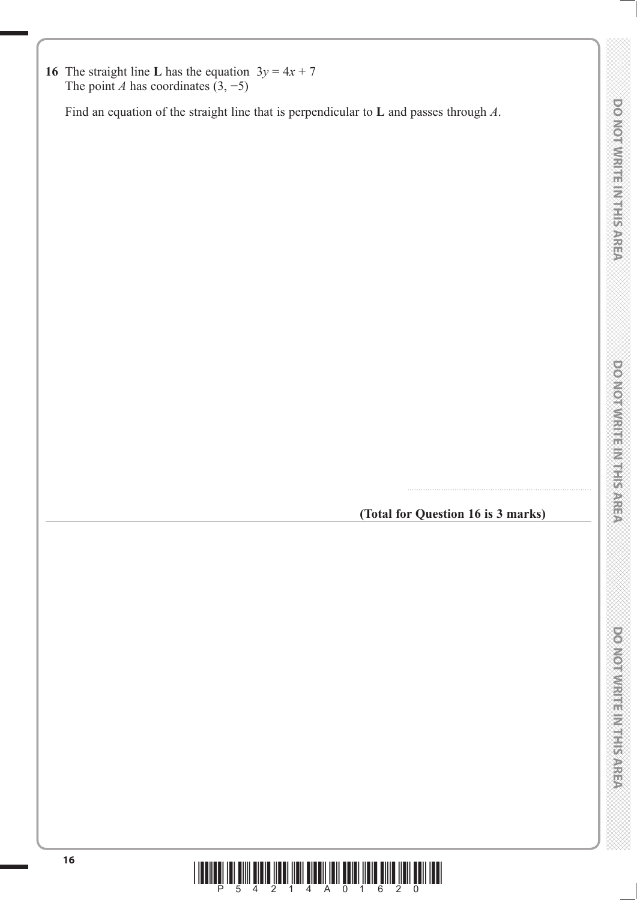

**(Total for Question 16 is 3 marks)**

..................................................................................

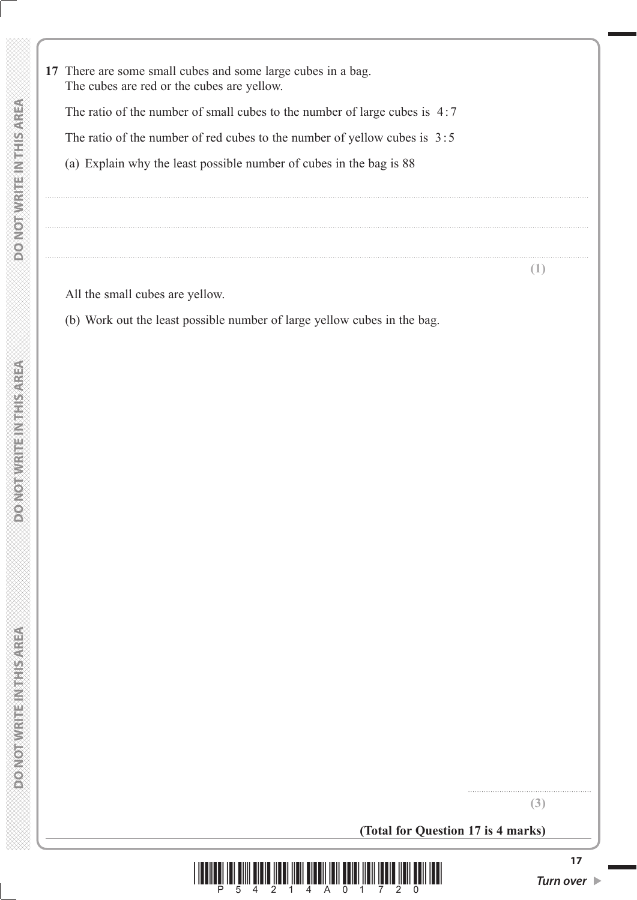**17** There are some small cubes and some large cubes in a bag. The cubes are red or the cubes are yellow.

The ratio of the number of small cubes to the number of large cubes is  $4:7$ 

The ratio of the number of red cubes to the number of yellow cubes is  $3:5$ 

..................................................................................................................................................................................................................................................

..................................................................................................................................................................................................................................................

..................................................................................................................................................................................................................................................

(a) Explain why the least possible number of cubes in the bag is 88

**(1)**

All the small cubes are yellow.

(b) Work out the least possible number of large yellow cubes in the bag.

**(3)**

.......................................................

**(Total for Question 17 is 4 marks)**

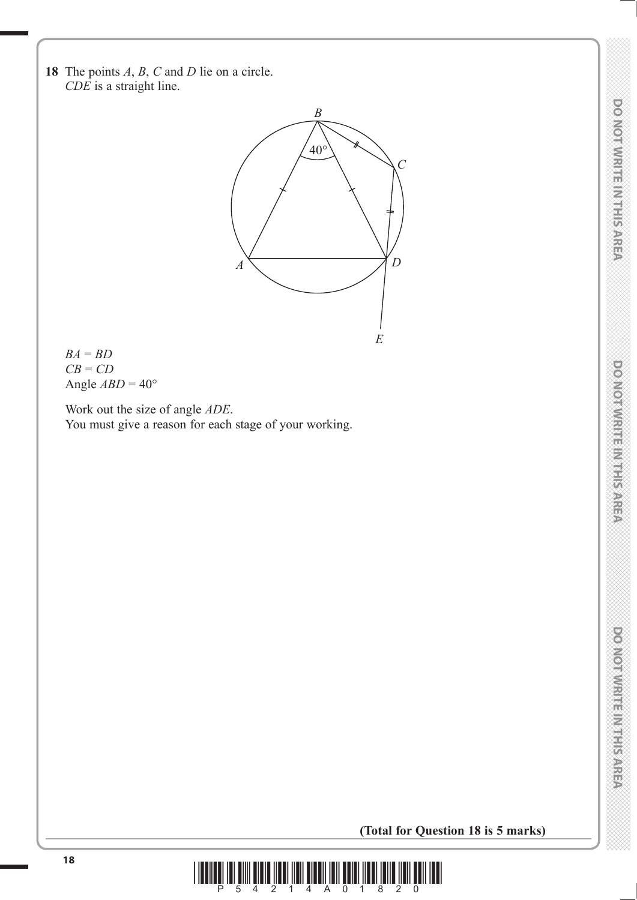DO NOT WRITE IN THIS AREA



 $BA = BD$  *CB* = *CD* Angle  $ABD = 40^\circ$ 

 Work out the size of angle *ADE*. You must give a reason for each stage of your working.

**DONOTWRITE MITHSAREA** 

**(Total for Question 18 is 5 marks)**

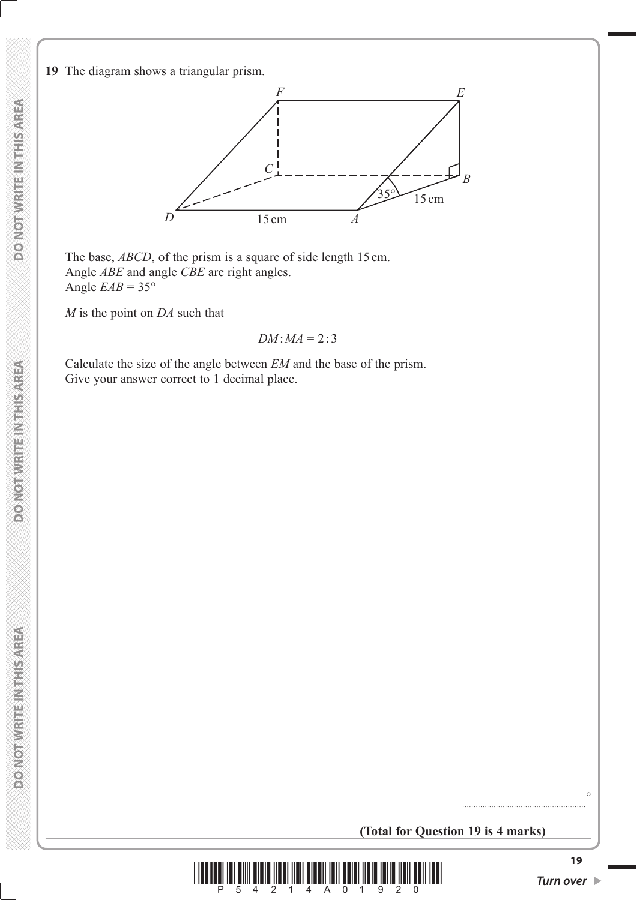**DOMOTIVRITE IN THIS AREA** 

**DOMOTHER REPAIRING** 

**19** The diagram shows a triangular prism.



The base, *ABCD*, of the prism is a square of side length 15 cm. Angle *ABE* and angle *CBE* are right angles. Angle  $EAB = 35^\circ$ 

*M* is the point on *DA* such that

$$
DM: MA = 2:3
$$

 Calculate the size of the angle between *EM* and the base of the prism. Give your answer correct to 1 decimal place.



 $\circ$ 

.......................................................